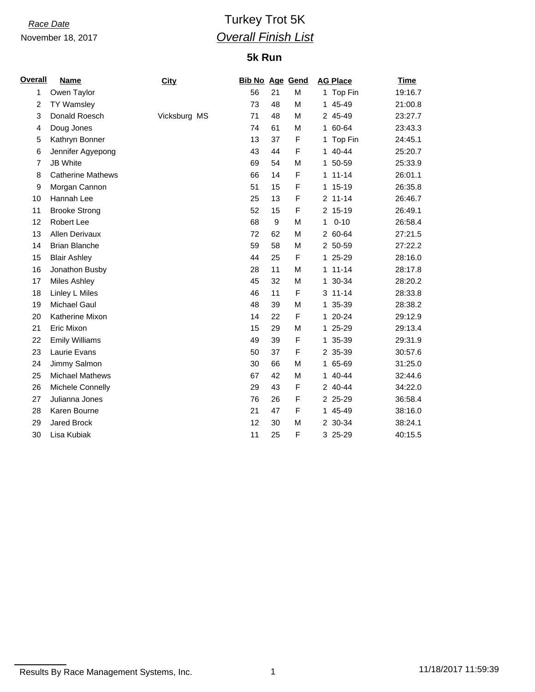November 18, 2017

## *Race Date* Turkey Trot 5K *Overall Finish List*

## **5k Run**

| <b>Overall</b> | <b>Name</b>              | <b>City</b>  | <b>Bib No Age Gend</b> |    |             | <b>AG Place</b> | <b>Time</b> |
|----------------|--------------------------|--------------|------------------------|----|-------------|-----------------|-------------|
| 1              | Owen Taylor              |              | 56                     | 21 | M           | 1 Top Fin       | 19:16.7     |
| $\overline{2}$ | <b>TY Wamsley</b>        |              | 73                     | 48 | M           | 45-49<br>1.     | 21:00.8     |
| 3              | Donald Roesch            | Vicksburg MS | 71                     | 48 | M           | 2 45-49         | 23:27.7     |
| 4              | Doug Jones               |              | 74                     | 61 | M           | 1 60-64         | 23:43.3     |
| 5              | Kathryn Bonner           |              | 13                     | 37 | F           | 1 Top Fin       | 24:45.1     |
| 6              | Jennifer Agyepong        |              | 43                     | 44 | F           | 1 40-44         | 25:20.7     |
| 7              | <b>JB White</b>          |              | 69                     | 54 | M           | 1 50-59         | 25:33.9     |
| 8              | <b>Catherine Mathews</b> |              | 66                     | 14 | F           | $1 11 - 14$     | 26:01.1     |
| 9              | Morgan Cannon            |              | 51                     | 15 | F           | 1 15-19         | 26:35.8     |
| 10             | Hannah Lee               |              | 25                     | 13 | F           | $2$ 11-14       | 26:46.7     |
| 11             | <b>Brooke Strong</b>     |              | 52                     | 15 | F           | 2 15-19         | 26:49.1     |
| 12             | Robert Lee               |              | 68                     | 9  | M           | $0 - 10$<br>1   | 26:58.4     |
| 13             | Allen Derivaux           |              | 72                     | 62 | M           | 2 60-64         | 27:21.5     |
| 14             | <b>Brian Blanche</b>     |              | 59                     | 58 | M           | 2 50-59         | 27:22.2     |
| 15             | <b>Blair Ashley</b>      |              | 44                     | 25 | F           | 1 25-29         | 28:16.0     |
| 16             | Jonathon Busby           |              | 28                     | 11 | M           | $1 11 - 14$     | 28:17.8     |
| 17             | <b>Miles Ashley</b>      |              | 45                     | 32 | M           | 1 30-34         | 28:20.2     |
| 18             | Linley L Miles           |              | 46                     | 11 | F           | $3 11 - 14$     | 28:33.8     |
| 19             | <b>Michael Gaul</b>      |              | 48                     | 39 | M           | 1 35-39         | 28:38.2     |
| 20             | Katherine Mixon          |              | 14                     | 22 | F           | 1 20-24         | 29:12.9     |
| 21             | Eric Mixon               |              | 15                     | 29 | M           | 1 25-29         | 29:13.4     |
| 22             | <b>Emily Williams</b>    |              | 49                     | 39 | F           | 1 35-39         | 29:31.9     |
| 23             | Laurie Evans             |              | 50                     | 37 | $\mathsf F$ | 2 35-39         | 30:57.6     |
| 24             | Jimmy Salmon             |              | 30                     | 66 | М           | 1 65-69         | 31:25.0     |
| 25             | <b>Michael Mathews</b>   |              | 67                     | 42 | М           | 1 40-44         | 32:44.6     |
| 26             | Michele Connelly         |              | 29                     | 43 | $\mathsf F$ | 2 40-44         | 34:22.0     |
| 27             | Julianna Jones           |              | 76                     | 26 | F           | 2 25-29         | 36:58.4     |
| 28             | Karen Bourne             |              | 21                     | 47 | F           | 1 45-49         | 38:16.0     |
| 29             | <b>Jared Brock</b>       |              | 12                     | 30 | M           | 2 30-34         | 38:24.1     |
| 30             | Lisa Kubiak              |              | 11                     | 25 | F           | 3 25-29         | 40:15.5     |

Results By Race Management Systems, Inc. 1 11/18/2017 11:59:39